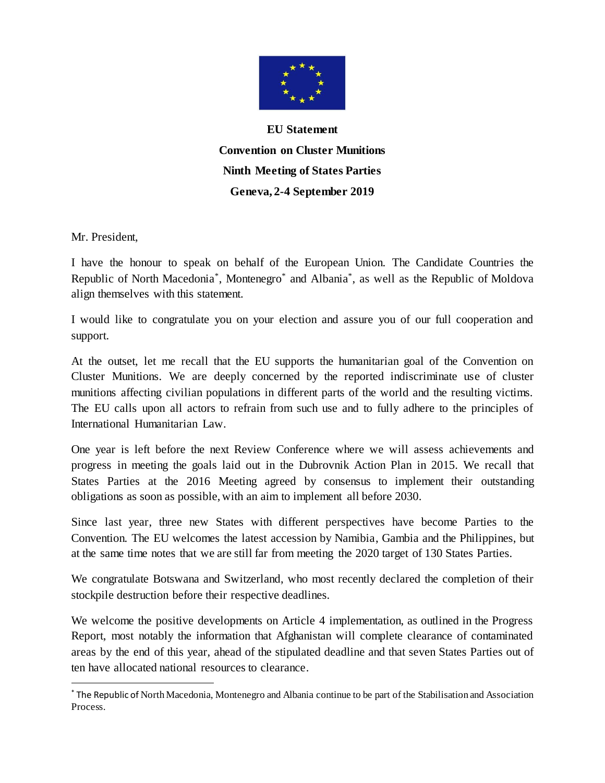

**EU Statement Convention on Cluster Munitions Ninth Meeting of States Parties Geneva, 2-4 September 2019**

Mr. President,

 $\overline{a}$ 

I have the honour to speak on behalf of the European Union. The Candidate Countries the Republic of North Macedonia<sup>\*</sup>, Montenegro<sup>\*</sup> and Albania<sup>\*</sup>, as well as the Republic of Moldova align themselves with this statement.

I would like to congratulate you on your election and assure you of our full cooperation and support.

At the outset, let me recall that the EU supports the humanitarian goal of the Convention on Cluster Munitions. We are deeply concerned by the reported indiscriminate use of cluster munitions affecting civilian populations in different parts of the world and the resulting victims. The EU calls upon all actors to refrain from such use and to fully adhere to the principles of International Humanitarian Law.

One year is left before the next Review Conference where we will assess achievements and progress in meeting the goals laid out in the Dubrovnik Action Plan in 2015. We recall that States Parties at the 2016 Meeting agreed by consensus to implement their outstanding obligations as soon as possible, with an aim to implement all before 2030.

Since last year, three new States with different perspectives have become Parties to the Convention. The EU welcomes the latest accession by Namibia, Gambia and the Philippines, but at the same time notes that we are still far from meeting the 2020 target of 130 States Parties.

We congratulate Botswana and Switzerland, who most recently declared the completion of their stockpile destruction before their respective deadlines.

We welcome the positive developments on Article 4 implementation, as outlined in the Progress Report, most notably the information that Afghanistan will complete clearance of contaminated areas by the end of this year, ahead of the stipulated deadline and that seven States Parties out of ten have allocated national resources to clearance.

<sup>\*</sup> The Republic of North Macedonia, Montenegro and Albania continue to be part of the Stabilisation and Association Process.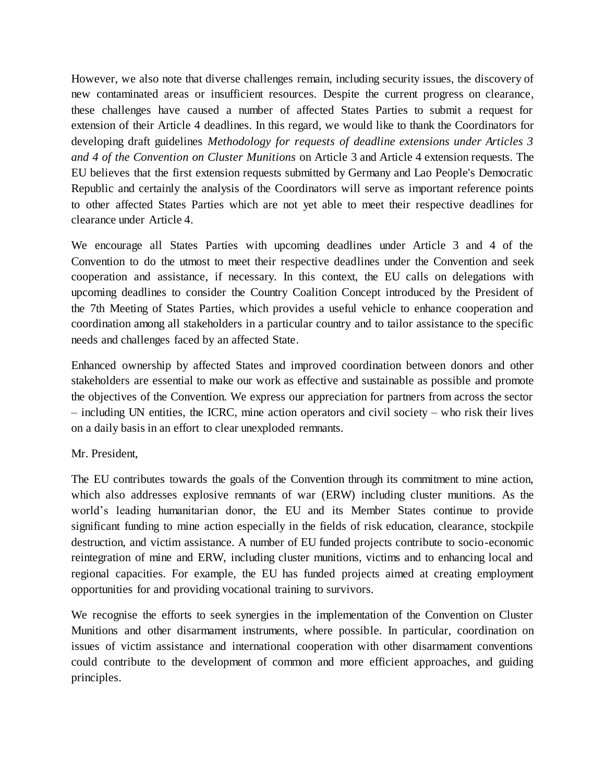However, we also note that diverse challenges remain, including security issues, the discovery of new contaminated areas or insufficient resources. Despite the current progress on clearance, these challenges have caused a number of affected States Parties to submit a request for extension of their Article 4 deadlines. In this regard, we would like to thank the Coordinators for developing draft guidelines *Methodology for requests of deadline extensions under Articles 3 and 4 of the Convention on Cluster Munitions* on Article 3 and Article 4 extension requests. The EU believes that the first extension requests submitted by Germany and Lao People's Democratic Republic and certainly the analysis of the Coordinators will serve as important reference points to other affected States Parties which are not yet able to meet their respective deadlines for clearance under Article 4.

We encourage all States Parties with upcoming deadlines under Article 3 and 4 of the Convention to do the utmost to meet their respective deadlines under the Convention and seek cooperation and assistance, if necessary. In this context, the EU calls on delegations with upcoming deadlines to consider the Country Coalition Concept introduced by the President of the 7th Meeting of States Parties, which provides a useful vehicle to enhance cooperation and coordination among all stakeholders in a particular country and to tailor assistance to the specific needs and challenges faced by an affected State.

Enhanced ownership by affected States and improved coordination between donors and other stakeholders are essential to make our work as effective and sustainable as possible and promote the objectives of the Convention. We express our appreciation for partners from across the sector – including UN entities, the ICRC, mine action operators and civil society – who risk their lives on a daily basis in an effort to clear unexploded remnants.

## Mr. President,

The EU contributes towards the goals of the Convention through its commitment to mine action, which also addresses explosive remnants of war (ERW) including cluster munitions. As the world's leading humanitarian donor, the EU and its Member States continue to provide significant funding to mine action especially in the fields of risk education, clearance, stockpile destruction, and victim assistance. A number of EU funded projects contribute to socio-economic reintegration of mine and ERW, including cluster munitions, victims and to enhancing local and regional capacities. For example, the EU has funded projects aimed at creating employment opportunities for and providing vocational training to survivors.

We recognise the efforts to seek synergies in the implementation of the Convention on Cluster Munitions and other disarmament instruments, where possible. In particular, coordination on issues of victim assistance and international cooperation with other disarmament conventions could contribute to the development of common and more efficient approaches, and guiding principles.